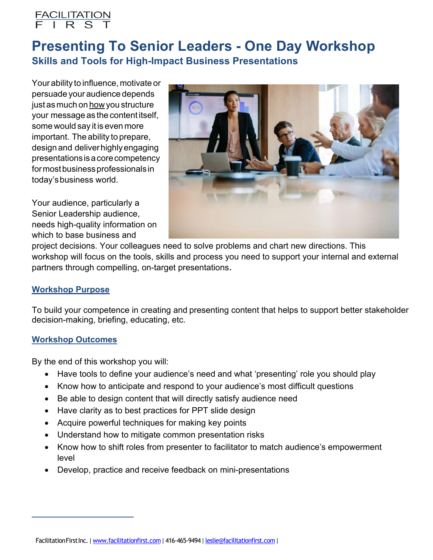

# Presenting To Senior Leaders - One Day Workshop Skills and Tools for High-Impact Business Presentations

Your ability to influence, motivate or persuade your audience depends just as much on how you structure your message as the content itself, some would say it is even more important. The ability to prepare, design and deliverhighlyengaging presentationsisacorecompetency for most business professionals in today'sbusiness world.

Your audience, particularly a Senior Leadership audience, needs high-quality information on which to base business and



project decisions. Your colleagues need to solve problems and chart new directions. This workshop will focus on the tools, skills and process you need to support your internal and external partners through compelling, on-target presentations.

## Workshop Purpose

To build your competence in creating and presenting content that helps to support better stakeholder decision-making, briefing, educating, etc.

#### Workshop Outcomes

By the end of this workshop you will:

- Have tools to define your audience's need and what 'presenting' role you should play
- Know how to anticipate and respond to your audience's most difficult questions
- Be able to design content that will directly satisfy audience need
- Have clarity as to best practices for PPT slide design
- Acquire powerful techniques for making key points
- Understand how to mitigate common presentation risks
- Know how to shift roles from presenter to facilitator to match audience's empowerment level
- Develop, practice and receive feedback on mini-presentations

FacilitationFirstInc. | www.facilitationfirst.com | 416-465-9494 | leslie@facilitationfirst.com |